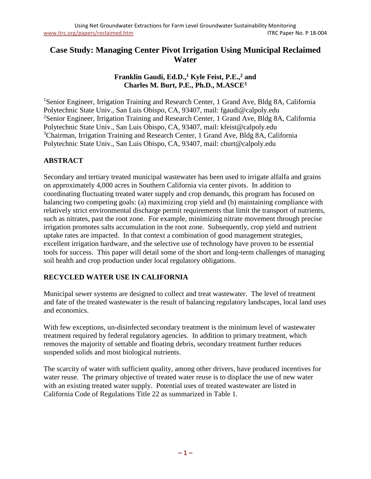# **Case Study: Managing Center Pivot Irrigation Using Municipal Reclaimed Water**

### **Franklin Gaudi, Ed.D.,1 Kyle Feist, P.E., <sup>2</sup> and Charles M. Burt, P.E., Ph.D., M.ASCE3**

<sup>1</sup>Senior Engineer, Irrigation Training and Research Center, 1 Grand Ave, Bldg 8A, California Polytechnic State Univ., San Luis Obispo, CA, 93407, mail: fgaudi@calpoly.edu <sup>2</sup>Senior Engineer, Irrigation Training and Research Center, 1 Grand Ave, Bldg 8A, California Polytechnic State Univ., San Luis Obispo, CA, 93407, mail: kfeist@calpoly.edu <sup>3</sup>Chairman, Irrigation Training and Research Center, 1 Grand Ave, Bldg 8A, California Polytechnic State Univ., San Luis Obispo, CA, 93407, mail: cburt@calpoly.edu

## **ABSTRACT**

Secondary and tertiary treated municipal wastewater has been used to irrigate alfalfa and grains on approximately 4,000 acres in Southern California via center pivots. In addition to coordinating fluctuating treated water supply and crop demands, this program has focused on balancing two competing goals: (a) maximizing crop yield and (b) maintaining compliance with relatively strict environmental discharge permit requirements that limit the transport of nutrients, such as nitrates, past the root zone. For example, minimizing nitrate movement through precise irrigation promotes salts accumulation in the root zone. Subsequently, crop yield and nutrient uptake rates are impacted. In that context a combination of good management strategies, excellent irrigation hardware, and the selective use of technology have proven to be essential tools for success. This paper will detail some of the short and long-term challenges of managing soil health and crop production under local regulatory obligations.

#### **RECYCLED WATER USE IN CALIFORNIA**

Municipal sewer systems are designed to collect and treat wastewater. The level of treatment and fate of the treated wastewater is the result of balancing regulatory landscapes, local land uses and economics.

With few exceptions, un-disinfected secondary treatment is the minimum level of wastewater treatment required by federal regulatory agencies. In addition to primary treatment, which removes the majority of settable and floating debris, secondary treatment further reduces suspended solids and most biological nutrients.

The scarcity of water with sufficient quality, among other drivers, have produced incentives for water reuse. The primary objective of treated water reuse is to displace the use of new water with an existing treated water supply. Potential uses of treated wastewater are listed in California Code of Regulations Title 22 as summarized in Table 1.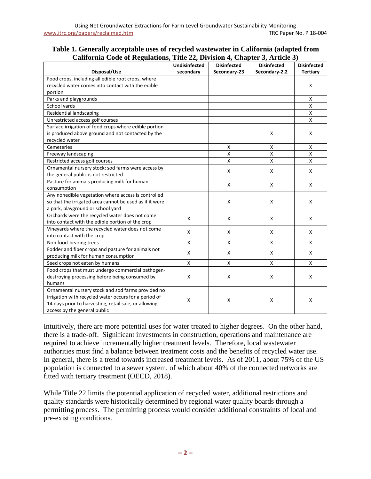| Table 1. Generally acceptable uses of recycled wastewater in California (adapted from |
|---------------------------------------------------------------------------------------|
| California Code of Regulations, Title 22, Division 4, Chapter 3, Article 3)           |

| <i>Camorina</i> Coac of Inequiations, This 22, Driblen 4, Chapter 0, In the $\sigma$ | <b>Undisinfected</b> | <b>Disinfected</b>        | <b>Disinfected</b> | <b>Disinfected</b> |
|--------------------------------------------------------------------------------------|----------------------|---------------------------|--------------------|--------------------|
| Disposal/Use                                                                         | secondary            | Secondary-23              | Secondary-2.2      | <b>Tertiary</b>    |
| Food crops, including all edible root crops, where                                   |                      |                           |                    |                    |
| recycled water comes into contact with the edible                                    |                      |                           |                    | X                  |
| portion                                                                              |                      |                           |                    |                    |
| Parks and playgrounds                                                                |                      |                           |                    | X                  |
| School yards                                                                         |                      |                           |                    | $\mathsf{x}$       |
| Residential landscaping                                                              |                      |                           |                    | X                  |
| Unrestricted access golf courses                                                     |                      |                           |                    | X                  |
| Surface irrigation of food crops where edible portion                                |                      |                           |                    |                    |
| is produced above ground and not contacted by the                                    |                      |                           | X                  | X                  |
| recycled water                                                                       |                      |                           |                    |                    |
| Cemeteries                                                                           |                      | X                         | X                  | X                  |
| Freeway landscaping                                                                  |                      | $\pmb{\mathsf{X}}$        | X                  | X                  |
| Restricted access golf courses                                                       |                      | $\boldsymbol{\mathsf{X}}$ | X                  | X                  |
| Ornamental nursery stock; sod farms were access by                                   |                      | X                         | X                  | X                  |
| the general public is not restricted                                                 |                      |                           |                    |                    |
| Pasture for animals producing milk for human                                         |                      | X                         | X                  | X                  |
| consumption                                                                          |                      |                           |                    |                    |
| Any nonedible vegetation where access is controlled                                  |                      |                           |                    |                    |
| so that the irrigated area cannot be used as if it were                              |                      | X                         | X                  | X                  |
| a park, playground or school yard                                                    |                      |                           |                    |                    |
| Orchards were the recycled water does not come                                       | X                    | X                         | X                  | X                  |
| into contact with the edible portion of the crop                                     |                      |                           |                    |                    |
| Vineyards where the recycled water does not come                                     | $\mathsf{x}$         | X                         | X                  | X                  |
| into contact with the crop                                                           |                      |                           |                    |                    |
| Non food-bearing trees                                                               | $\pmb{\mathsf{X}}$   | $\pmb{\mathsf{X}}$        | $\pmb{\mathsf{X}}$ | X                  |
| Fodder and fiber crops and pasture for animals not                                   | X                    | X                         | X                  | X                  |
| producing milk for human consumption                                                 |                      |                           |                    |                    |
| Seed crops not eaten by humans                                                       | $\pmb{\mathsf{X}}$   | $\mathsf{x}$              | X                  | X                  |
| Food crops that must undergo commercial pathogen-                                    |                      |                           |                    |                    |
| destroying processing before being consumed by                                       | X                    | X                         | X                  | X                  |
| humans                                                                               |                      |                           |                    |                    |
| Ornamental nursery stock and sod farms provided no                                   |                      |                           |                    |                    |
| irrigation with recycled water occurs for a period of                                | X                    | X                         | X                  | X                  |
| 14 days prior to harvesting, retail sale, or allowing                                |                      |                           |                    |                    |
| access by the general public                                                         |                      |                           |                    |                    |

Intuitively, there are more potential uses for water treated to higher degrees. On the other hand, there is a trade-off. Significant investments in construction, operations and maintenance are required to achieve incrementally higher treatment levels. Therefore, local wastewater authorities must find a balance between treatment costs and the benefits of recycled water use. In general, there is a trend towards increased treatment levels. As of 2011, about 75% of the US population is connected to a sewer system, of which about 40% of the connected networks are fitted with tertiary treatment (OECD, 2018).

While Title 22 limits the potential application of recycled water, additional restrictions and quality standards were historically determined by regional water quality boards through a permitting process. The permitting process would consider additional constraints of local and pre-existing conditions.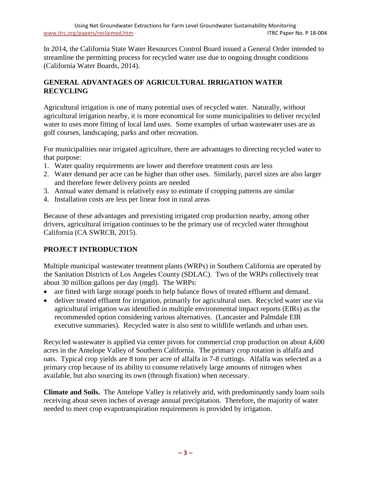In 2014, the California State Water Resources Control Board issued a General Order intended to streamline the permitting process for recycled water use due to ongoing drought conditions (California Water Boards, 2014).

## **GENERAL ADVANTAGES OF AGRICULTURAL IRRIGATION WATER RECYCLING**

Agricultural irrigation is one of many potential uses of recycled water. Naturally, without agricultural irrigation nearby, it is more economical for some municipalities to deliver recycled water to uses more fitting of local land uses. Some examples of urban wastewater uses are as golf courses, landscaping, parks and other recreation.

For municipalities near irrigated agriculture, there are advantages to directing recycled water to that purpose:

- 1. Water quality requirements are lower and therefore treatment costs are less
- 2. Water demand per acre can be higher than other uses. Similarly, parcel sizes are also larger and therefore fewer delivery points are needed
- 3. Annual water demand is relatively easy to estimate if cropping patterns are similar
- 4. Installation costs are less per linear foot in rural areas

Because of these advantages and preexisting irrigated crop production nearby, among other drivers, agricultural irrigation continues to be the primary use of recycled water throughout California (CA SWRCB, 2015).

## **PROJECT INTRODUCTION**

Multiple municipal wastewater treatment plants (WRPs) in Southern California are operated by the Sanitation Districts of Los Angeles County (SDLAC). Two of the WRPs collectively treat about 30 million gallons per day (mgd). The WRPs:

- are fitted with large storage ponds to help balance flows of treated effluent and demand.
- deliver treated effluent for irrigation, primarily for agricultural uses. Recycled water use via agricultural irrigation was identified in multiple environmental impact reports (EIRs) as the recommended option considering various alternatives. (Lancaster and Palmdale EIR executive summaries). Recycled water is also sent to wildlife wetlands and urban uses.

Recycled wastewater is applied via center pivots for commercial crop production on about 4,600 acres in the Antelope Valley of Southern California. The primary crop rotation is alfalfa and oats. Typical crop yields are 8 tons per acre of alfalfa in 7-8 cuttings. Alfalfa was selected as a primary crop because of its ability to consume relatively large amounts of nitrogen when available, but also sourcing its own (through fixation) when necessary.

**Climate and Soils.** The Antelope Valley is relatively arid, with predominantly sandy loam soils receiving about seven inches of average annual precipitation. Therefore, the majority of water needed to meet crop evapotranspiration requirements is provided by irrigation.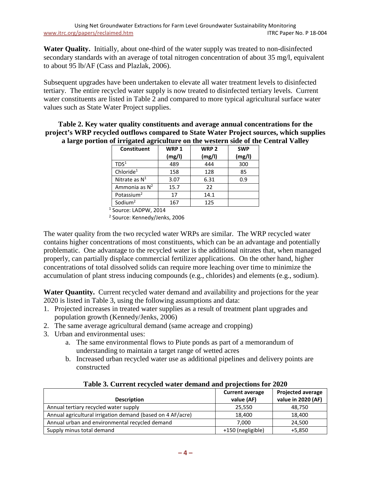**Water Quality.** Initially, about one-third of the water supply was treated to non-disinfected secondary standards with an average of total nitrogen concentration of about 35 mg/l, equivalent to about 95 lb/AF (Cass and Plazlak, 2006).

Subsequent upgrades have been undertaken to elevate all water treatment levels to disinfected tertiary. The entire recycled water supply is now treated to disinfected tertiary levels. Current water constituents are listed in Table 2 and compared to more typical agricultural surface water values such as State Water Project supplies.

#### **Table 2. Key water quality constituents and average annual concentrations for the project's WRP recycled outflows compared to State Water Project sources, which supplies a large portion of irrigated agriculture on the western side of the Central Valley**

| Constituent            | WRP <sub>1</sub> | WRP <sub>2</sub> | <b>SWP</b> |
|------------------------|------------------|------------------|------------|
|                        | (mg/l)           | (mg/l)           | (mg/l)     |
| TDS <sup>1</sup>       | 489              | 444              | 300        |
| Chloride $1$           | 158              | 128              | 85         |
| Nitrate as $N^1$       | 3.07             | 6.31             | 0.9        |
| Ammonia as $N^2$       | 15.7             | 22               |            |
| Potassium <sup>2</sup> | 17               | 14.1             |            |
| Sodium <sup>2</sup>    | 167              | 125              |            |

<sup>1</sup> Source: LADPW, 2014

<sup>2</sup> Source: Kennedy/Jenks, 2006

The water quality from the two recycled water WRPs are similar. The WRP recycled water contains higher concentrations of most constituents, which can be an advantage and potentially problematic. One advantage to the recycled water is the additional nitrates that, when managed properly, can partially displace commercial fertilizer applications. On the other hand, higher concentrations of total dissolved solids can require more leaching over time to minimize the accumulation of plant stress inducing compounds (e.g., chlorides) and elements (e.g., sodium).

**Water Quantity.** Current recycled water demand and availability and projections for the year 2020 is listed in Table 3, using the following assumptions and data:

- 1. Projected increases in treated water supplies as a result of treatment plant upgrades and population growth (Kennedy/Jenks, 2006)
- 2. The same average agricultural demand (same acreage and cropping)
- 3. Urban and environmental uses:
	- a. The same environmental flows to Piute ponds as part of a memorandum of understanding to maintain a target range of wetted acres
	- b. Increased urban recycled water use as additional pipelines and delivery points are constructed

| <b>Description</b>                                         | <b>Current average</b><br>value (AF) | <b>Projected average</b><br>value in 2020 (AF) |
|------------------------------------------------------------|--------------------------------------|------------------------------------------------|
| Annual tertiary recycled water supply                      | 25.550                               | 48,750                                         |
| Annual agricultural irrigation demand (based on 4 AF/acre) | 18.400                               | 18,400                                         |
| Annual urban and environmental recycled demand             | 7.000                                | 24,500                                         |
| Supply minus total demand                                  | +150 (negligible)                    | $+5,850$                                       |

**Table 3. Current recycled water demand and projections for 2020**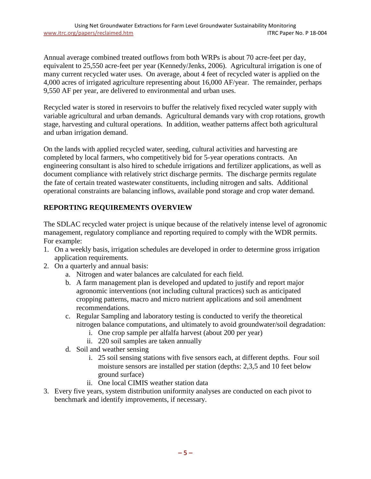Annual average combined treated outflows from both WRPs is about 70 acre-feet per day, equivalent to 25,550 acre-feet per year (Kennedy/Jenks, 2006). Agricultural irrigation is one of many current recycled water uses. On average, about 4 feet of recycled water is applied on the 4,000 acres of irrigated agriculture representing about 16,000 AF/year. The remainder, perhaps 9,550 AF per year, are delivered to environmental and urban uses.

Recycled water is stored in reservoirs to buffer the relatively fixed recycled water supply with variable agricultural and urban demands. Agricultural demands vary with crop rotations, growth stage, harvesting and cultural operations. In addition, weather patterns affect both agricultural and urban irrigation demand.

On the lands with applied recycled water, seeding, cultural activities and harvesting are completed by local farmers, who competitively bid for 5-year operations contracts. An engineering consultant is also hired to schedule irrigations and fertilizer applications, as well as document compliance with relatively strict discharge permits. The discharge permits regulate the fate of certain treated wastewater constituents, including nitrogen and salts. Additional operational constraints are balancing inflows, available pond storage and crop water demand.

## **REPORTING REQUIREMENTS OVERVIEW**

The SDLAC recycled water project is unique because of the relatively intense level of agronomic management, regulatory compliance and reporting required to comply with the WDR permits. For example:

- 1. On a weekly basis, irrigation schedules are developed in order to determine gross irrigation application requirements.
- 2. On a quarterly and annual basis:
	- a. Nitrogen and water balances are calculated for each field.
	- b. A farm management plan is developed and updated to justify and report major agronomic interventions (not including cultural practices) such as anticipated cropping patterns, macro and micro nutrient applications and soil amendment recommendations.
	- c. Regular Sampling and laboratory testing is conducted to verify the theoretical nitrogen balance computations, and ultimately to avoid groundwater/soil degradation:
		- i. One crop sample per alfalfa harvest (about 200 per year)
		- ii. 220 soil samples are taken annually
	- d. Soil and weather sensing
		- i. 25 soil sensing stations with five sensors each, at different depths. Four soil moisture sensors are installed per station (depths: 2,3,5 and 10 feet below ground surface)
		- ii. One local CIMIS weather station data
- 3. Every five years, system distribution uniformity analyses are conducted on each pivot to benchmark and identify improvements, if necessary.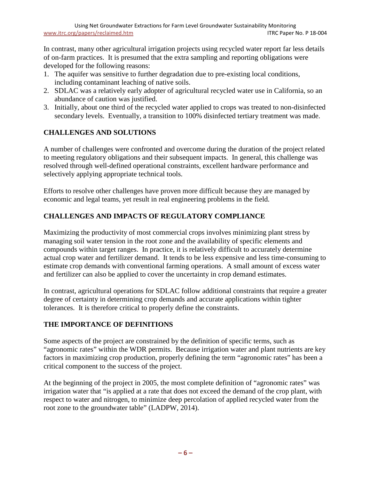In contrast, many other agricultural irrigation projects using recycled water report far less details of on-farm practices. It is presumed that the extra sampling and reporting obligations were developed for the following reasons:

- 1. The aquifer was sensitive to further degradation due to pre-existing local conditions, including contaminant leaching of native soils.
- 2. SDLAC was a relatively early adopter of agricultural recycled water use in California, so an abundance of caution was justified.
- 3. Initially, about one third of the recycled water applied to crops was treated to non-disinfected secondary levels. Eventually, a transition to 100% disinfected tertiary treatment was made.

## **CHALLENGES AND SOLUTIONS**

A number of challenges were confronted and overcome during the duration of the project related to meeting regulatory obligations and their subsequent impacts. In general, this challenge was resolved through well-defined operational constraints, excellent hardware performance and selectively applying appropriate technical tools.

Efforts to resolve other challenges have proven more difficult because they are managed by economic and legal teams, yet result in real engineering problems in the field.

## **CHALLENGES AND IMPACTS OF REGULATORY COMPLIANCE**

Maximizing the productivity of most commercial crops involves minimizing plant stress by managing soil water tension in the root zone and the availability of specific elements and compounds within target ranges. In practice, it is relatively difficult to accurately determine actual crop water and fertilizer demand. It tends to be less expensive and less time-consuming to estimate crop demands with conventional farming operations. A small amount of excess water and fertilizer can also be applied to cover the uncertainty in crop demand estimates.

In contrast, agricultural operations for SDLAC follow additional constraints that require a greater degree of certainty in determining crop demands and accurate applications within tighter tolerances. It is therefore critical to properly define the constraints.

#### **THE IMPORTANCE OF DEFINITIONS**

Some aspects of the project are constrained by the definition of specific terms, such as "agronomic rates" within the WDR permits. Because irrigation water and plant nutrients are key factors in maximizing crop production, properly defining the term "agronomic rates" has been a critical component to the success of the project.

At the beginning of the project in 2005, the most complete definition of "agronomic rates" was irrigation water that "is applied at a rate that does not exceed the demand of the crop plant, with respect to water and nitrogen, to minimize deep percolation of applied recycled water from the root zone to the groundwater table" (LADPW, 2014).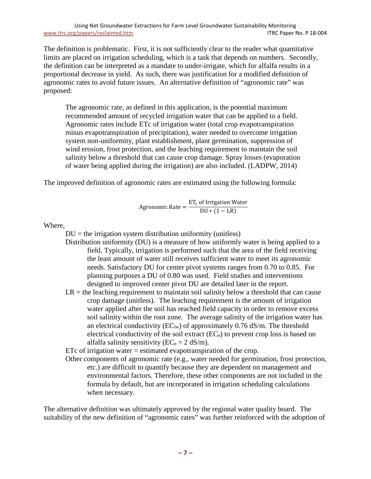The definition is problematic. First, it is not sufficiently clear to the reader what quantitative limits are placed on irrigation scheduling, which is a task that depends on numbers. Secondly, the definition can be interpreted as a mandate to under-irrigate, which for alfalfa results in a proportional decrease in yield. As such, there was justification for a modified definition of agronomic rates to avoid future issues. An alternative definition of "agronomic rate" was proposed:

The agronomic rate, as defined in this application, is the potential maximum recommended amount of recycled irrigation water that can be applied to a field. Agronomic rates include ETc of irrigation water (total crop evapotranspiration minus evapotranspiration of precipitation), water needed to overcome irrigation system non-uniformity, plant establishment, plant germination, suppression of wind erosion, frost protection, and the leaching requirement to maintain the soil salinity below a threshold that can cause crop damage. Spray losses (evaporation of water being applied during the irrigation) are also included. (LADPW, 2014)

The improved definition of agronomic rates are estimated using the following formula:

Agronomic Rate =  $\frac{E T_c}{D U * (1 - LR)}$ 

Where,

 $DU =$  the irrigation system distribution uniformity (unitless)

- Distribution uniformity (DU) is a measure of how uniformly water is being applied to a field. Typically, irrigation is performed such that the area of the field receiving the least amount of water still receives sufficient water to meet its agronomic needs. Satisfactory DU for center pivot systems ranges from 0.70 to 0.85. For planning purposes a DU of 0.80 was used. Field studies and interventions designed to improved center pivot DU are detailed later in the report.
- $LR =$  the leaching requirement to maintain soil salinity below a threshold that can cause crop damage (unitless). The leaching requirement is the amount of irrigation water applied after the soil has reached field capacity in order to remove excess soil salinity within the root zone. The average salinity of the irrigation water has an electrical conductivity ( $EC_{iw}$ ) of approximately 0.76 dS/m. The threshold electrical conductivity of the soil extract  $(EC_e)$  to prevent crop loss is based on alfalfa salinity sensitivity ( $EC_e = 2$  dS/m).

ETc of irrigation water  $=$  estimated evapotranspiration of the crop.

Other components of agronomic rate (e.g., water needed for germination, frost protection, etc.) are difficult to quantify because they are dependent on management and environmental factors. Therefore, these other components are not included in the formula by default, but are incorporated in irrigation scheduling calculations when necessary.

The alternative definition was ultimately approved by the regional water quality board. The suitability of the new definition of "agronomic rates" was further reinforced with the adoption of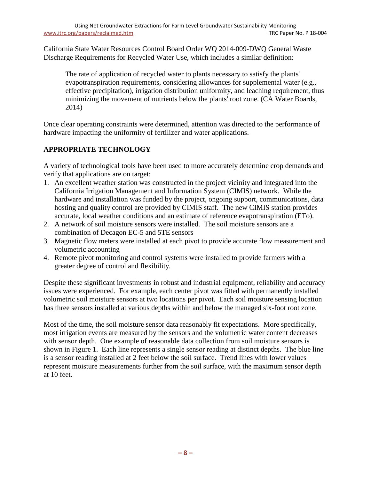California State Water Resources Control Board Order WQ 2014-009-DWQ General Waste Discharge Requirements for Recycled Water Use, which includes a similar definition:

The rate of application of recycled water to plants necessary to satisfy the plants' evapotranspiration requirements, considering allowances for supplemental water (e.g., effective precipitation), irrigation distribution uniformity, and leaching requirement, thus minimizing the movement of nutrients below the plants' root zone. (CA Water Boards, 2014)

Once clear operating constraints were determined, attention was directed to the performance of hardware impacting the uniformity of fertilizer and water applications.

## **APPROPRIATE TECHNOLOGY**

A variety of technological tools have been used to more accurately determine crop demands and verify that applications are on target:

- 1. An excellent weather station was constructed in the project vicinity and integrated into the California Irrigation Management and Information System (CIMIS) network. While the hardware and installation was funded by the project, ongoing support, communications, data hosting and quality control are provided by CIMIS staff. The new CIMIS station provides accurate, local weather conditions and an estimate of reference evapotranspiration (ETo).
- 2. A network of soil moisture sensors were installed. The soil moisture sensors are a combination of Decagon EC-5 and 5TE sensors
- 3. Magnetic flow meters were installed at each pivot to provide accurate flow measurement and volumetric accounting
- 4. Remote pivot monitoring and control systems were installed to provide farmers with a greater degree of control and flexibility.

Despite these significant investments in robust and industrial equipment, reliability and accuracy issues were experienced. For example, each center pivot was fitted with permanently installed volumetric soil moisture sensors at two locations per pivot. Each soil moisture sensing location has three sensors installed at various depths within and below the managed six-foot root zone.

Most of the time, the soil moisture sensor data reasonably fit expectations. More specifically, most irrigation events are measured by the sensors and the volumetric water content decreases with sensor depth. One example of reasonable data collection from soil moisture sensors is shown in Figure 1. Each line represents a single sensor reading at distinct depths. The blue line is a sensor reading installed at 2 feet below the soil surface. Trend lines with lower values represent moisture measurements further from the soil surface, with the maximum sensor depth at 10 feet.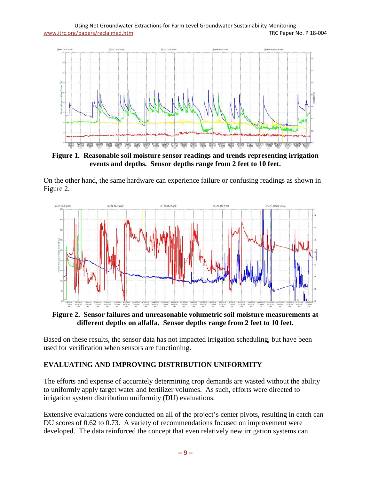#### Using Net Groundwater Extractions for Farm Level Groundwater Sustainability Monitoring [www.itrc.org/papers/reclaimed.htm](http://www.itrc.org/papers/reclaimed.htm) ITRC Paper No. P 18-004



**Figure 1. Reasonable soil moisture sensor readings and trends representing irrigation events and depths. Sensor depths range from 2 feet to 10 feet.**

On the other hand, the same hardware can experience failure or confusing readings as shown in Figure 2.



**Figure 2. Sensor failures and unreasonable volumetric soil moisture measurements at different depths on alfalfa. Sensor depths range from 2 feet to 10 feet.**

Based on these results, the sensor data has not impacted irrigation scheduling, but have been used for verification when sensors are functioning.

#### **EVALUATING AND IMPROVING DISTRIBUTION UNIFORMITY**

The efforts and expense of accurately determining crop demands are wasted without the ability to uniformly apply target water and fertilizer volumes. As such, efforts were directed to irrigation system distribution uniformity (DU) evaluations.

Extensive evaluations were conducted on all of the project's center pivots, resulting in catch can DU scores of 0.62 to 0.73. A variety of recommendations focused on improvement were developed. The data reinforced the concept that even relatively new irrigation systems can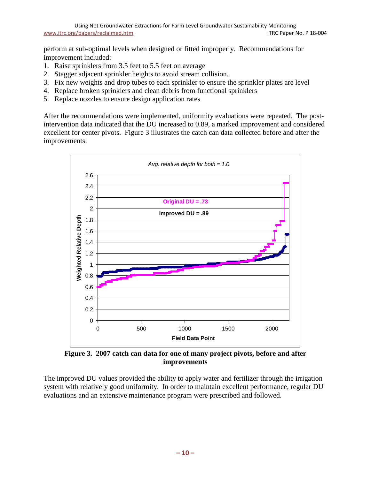perform at sub-optimal levels when designed or fitted improperly. Recommendations for improvement included:

- 1. Raise sprinklers from 3.5 feet to 5.5 feet on average
- 2. Stagger adjacent sprinkler heights to avoid stream collision.
- 3. Fix new weights and drop tubes to each sprinkler to ensure the sprinkler plates are level
- 4. Replace broken sprinklers and clean debris from functional sprinklers
- 5. Replace nozzles to ensure design application rates

After the recommendations were implemented, uniformity evaluations were repeated. The postintervention data indicated that the DU increased to 0.89, a marked improvement and considered excellent for center pivots. Figure 3 illustrates the catch can data collected before and after the improvements.



**Figure 3. 2007 catch can data for one of many project pivots, before and after improvements**

The improved DU values provided the ability to apply water and fertilizer through the irrigation system with relatively good uniformity. In order to maintain excellent performance, regular DU evaluations and an extensive maintenance program were prescribed and followed.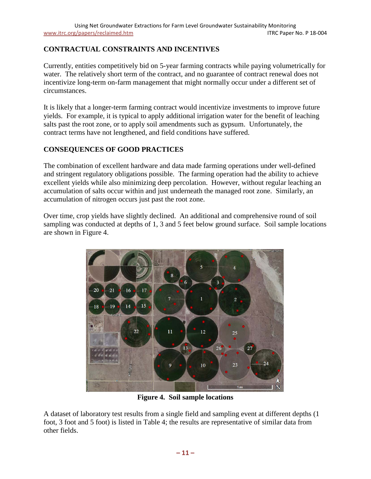## **CONTRACTUAL CONSTRAINTS AND INCENTIVES**

Currently, entities competitively bid on 5-year farming contracts while paying volumetrically for water. The relatively short term of the contract, and no guarantee of contract renewal does not incentivize long-term on-farm management that might normally occur under a different set of circumstances.

It is likely that a longer-term farming contract would incentivize investments to improve future yields. For example, it is typical to apply additional irrigation water for the benefit of leaching salts past the root zone, or to apply soil amendments such as gypsum. Unfortunately, the contract terms have not lengthened, and field conditions have suffered.

#### **CONSEQUENCES OF GOOD PRACTICES**

The combination of excellent hardware and data made farming operations under well-defined and stringent regulatory obligations possible. The farming operation had the ability to achieve excellent yields while also minimizing deep percolation. However, without regular leaching an accumulation of salts occur within and just underneath the managed root zone. Similarly, an accumulation of nitrogen occurs just past the root zone.

Over time, crop yields have slightly declined. An additional and comprehensive round of soil sampling was conducted at depths of 1, 3 and 5 feet below ground surface. Soil sample locations are shown in Figure 4.



**Figure 4. Soil sample locations**

A dataset of laboratory test results from a single field and sampling event at different depths (1 foot, 3 foot and 5 foot) is listed in Table 4; the results are representative of similar data from other fields.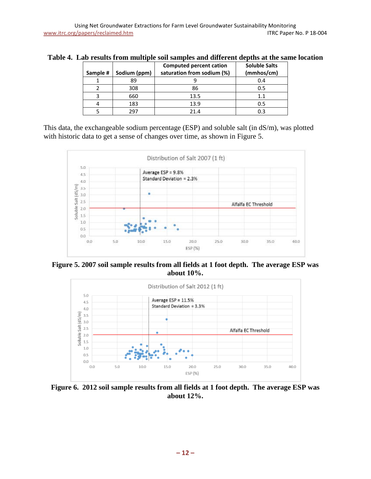|          |              | <b>Computed percent cation</b> | <b>Soluble Salts</b> |
|----------|--------------|--------------------------------|----------------------|
| Sample # | Sodium (ppm) | saturation from sodium (%)     | (mmhos/cm)           |
|          | 89           |                                | 0.4                  |
|          | 308          | 86                             | 0.5                  |
|          | 660          | 13.5                           | 1.1                  |
|          | 183          | 13.9                           | 0.5                  |
|          | 297          | 21 4                           | 0.3                  |

**Table 4. Lab results from multiple soil samples and different depths at the same location**

This data, the exchangeable sodium percentage (ESP) and soluble salt (in dS/m), was plotted with historic data to get a sense of changes over time, as shown in Figure 5.



**Figure 5. 2007 soil sample results from all fields at 1 foot depth. The average ESP was about 10%.**



**Figure 6. 2012 soil sample results from all fields at 1 foot depth. The average ESP was about 12%.**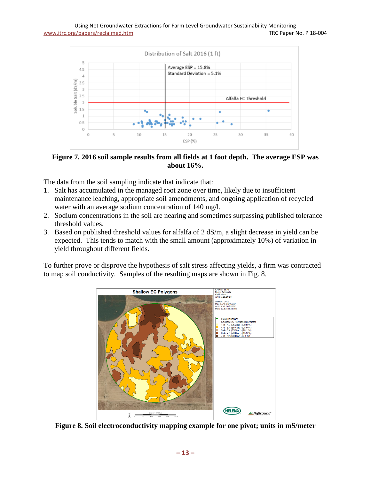

**Figure 7. 2016 soil sample results from all fields at 1 foot depth. The average ESP was about 16%.**

The data from the soil sampling indicate that indicate that:

- 1. Salt has accumulated in the managed root zone over time, likely due to insufficient maintenance leaching, appropriate soil amendments, and ongoing application of recycled water with an average sodium concentration of 140 mg/l.
- 2. Sodium concentrations in the soil are nearing and sometimes surpassing published tolerance threshold values.
- 3. Based on published threshold values for alfalfa of 2 dS/m, a slight decrease in yield can be expected. This tends to match with the small amount (approximately 10%) of variation in yield throughout different fields.

To further prove or disprove the hypothesis of salt stress affecting yields, a firm was contracted to map soil conductivity. Samples of the resulting maps are shown in Fig. 8.



**Figure 8. Soil electroconductivity mapping example for one pivot; units in mS/meter**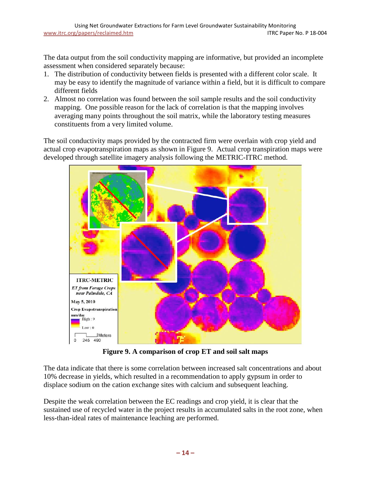The data output from the soil conductivity mapping are informative, but provided an incomplete assessment when considered separately because:

- 1. The distribution of conductivity between fields is presented with a different color scale. It may be easy to identify the magnitude of variance within a field, but it is difficult to compare different fields
- 2. Almost no correlation was found between the soil sample results and the soil conductivity mapping. One possible reason for the lack of correlation is that the mapping involves averaging many points throughout the soil matrix, while the laboratory testing measures constituents from a very limited volume.

The soil conductivity maps provided by the contracted firm were overlain with crop yield and actual crop evapotranspiration maps as shown in Figure 9. Actual crop transpiration maps were developed through satellite imagery analysis following the METRIC-ITRC method.



**Figure 9. A comparison of crop ET and soil salt maps**

The data indicate that there is some correlation between increased salt concentrations and about 10% decrease in yields, which resulted in a recommendation to apply gypsum in order to displace sodium on the cation exchange sites with calcium and subsequent leaching.

Despite the weak correlation between the EC readings and crop yield, it is clear that the sustained use of recycled water in the project results in accumulated salts in the root zone, when less-than-ideal rates of maintenance leaching are performed.